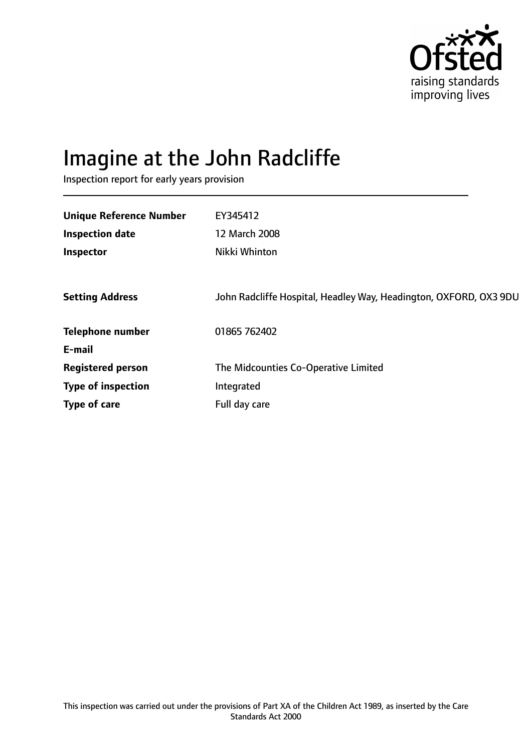

# Imagine at the John Radcliffe

Inspection report for early years provision

| EY345412<br>12 March 2008<br>Nikki Whinton                        |
|-------------------------------------------------------------------|
| John Radcliffe Hospital, Headley Way, Headington, OXFORD, OX3 9DU |
| 01865 762402                                                      |
|                                                                   |
| The Midcounties Co-Operative Limited                              |
| Integrated                                                        |
| Full day care                                                     |
|                                                                   |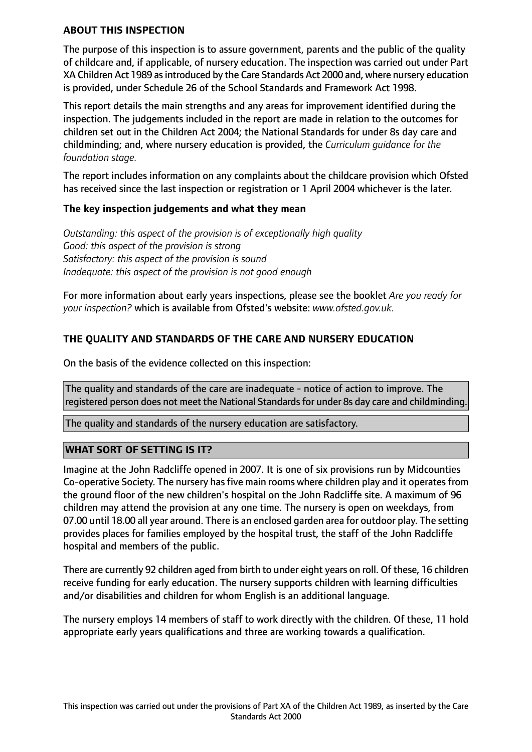#### **ABOUT THIS INSPECTION**

The purpose of this inspection is to assure government, parents and the public of the quality of childcare and, if applicable, of nursery education. The inspection was carried out under Part XA Children Act 1989 as introduced by the Care Standards Act 2000 and, where nursery education is provided, under Schedule 26 of the School Standards and Framework Act 1998.

This report details the main strengths and any areas for improvement identified during the inspection. The judgements included in the report are made in relation to the outcomes for children set out in the Children Act 2004; the National Standards for under 8s day care and childminding; and, where nursery education is provided, the *Curriculum guidance for the foundation stage.*

The report includes information on any complaints about the childcare provision which Ofsted has received since the last inspection or registration or 1 April 2004 whichever is the later.

## **The key inspection judgements and what they mean**

*Outstanding: this aspect of the provision is of exceptionally high quality Good: this aspect of the provision is strong Satisfactory: this aspect of the provision is sound Inadequate: this aspect of the provision is not good enough*

For more information about early years inspections, please see the booklet *Are you ready for your inspection?* which is available from Ofsted's website: *www.ofsted.gov.uk.*

## **THE QUALITY AND STANDARDS OF THE CARE AND NURSERY EDUCATION**

On the basis of the evidence collected on this inspection:

The quality and standards of the care are inadequate - notice of action to improve. The registered person does not meet the National Standards for under 8s day care and childminding.

The quality and standards of the nursery education are satisfactory.

## **WHAT SORT OF SETTING IS IT?**

Imagine at the John Radcliffe opened in 2007. It is one of six provisions run by Midcounties Co-operative Society. The nursery has five main rooms where children play and it operates from the ground floor of the new children's hospital on the John Radcliffe site. A maximum of 96 children may attend the provision at any one time. The nursery is open on weekdays, from 07.00 until 18.00 all year around. There is an enclosed garden area for outdoor play. The setting provides places for families employed by the hospital trust, the staff of the John Radcliffe hospital and members of the public.

There are currently 92 children aged from birth to under eight years on roll. Of these, 16 children receive funding for early education. The nursery supports children with learning difficulties and/or disabilities and children for whom English is an additional language.

The nursery employs 14 members of staff to work directly with the children. Of these, 11 hold appropriate early years qualifications and three are working towards a qualification.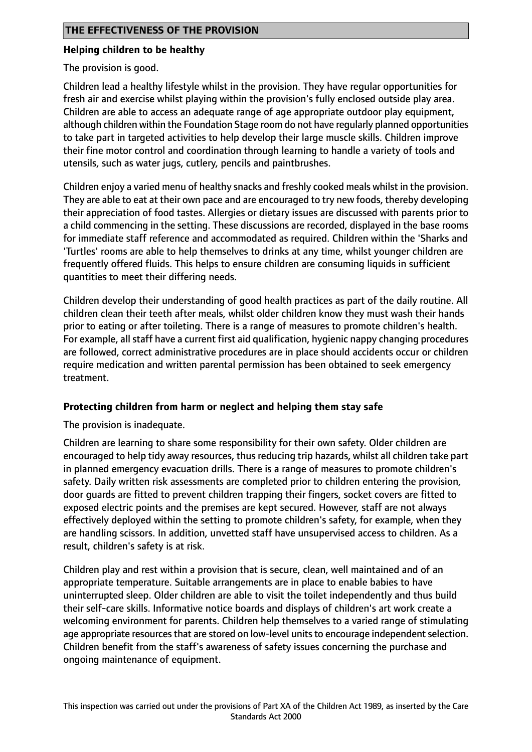## **Helping children to be healthy**

The provision is good.

Children lead a healthy lifestyle whilst in the provision. They have regular opportunities for fresh air and exercise whilst playing within the provision's fully enclosed outside play area. Children are able to access an adequate range of age appropriate outdoor play equipment, although children within the Foundation Stage room do not have regularly planned opportunities to take part in targeted activities to help develop their large muscle skills. Children improve their fine motor control and coordination through learning to handle a variety of tools and utensils, such as water jugs, cutlery, pencils and paintbrushes.

Children enjoy a varied menu of healthy snacks and freshly cooked meals whilst in the provision. They are able to eat at their own pace and are encouraged to try new foods, thereby developing their appreciation of food tastes. Allergies or dietary issues are discussed with parents prior to a child commencing in the setting. These discussions are recorded, displayed in the base rooms for immediate staff reference and accommodated as required. Children within the 'Sharks and 'Turtles' rooms are able to help themselves to drinks at any time, whilst younger children are frequently offered fluids. This helps to ensure children are consuming liquids in sufficient quantities to meet their differing needs.

Children develop their understanding of good health practices as part of the daily routine. All children clean their teeth after meals, whilst older children know they must wash their hands prior to eating or after toileting. There is a range of measures to promote children's health. For example, all staff have a current first aid qualification, hygienic nappy changing procedures are followed, correct administrative procedures are in place should accidents occur or children require medication and written parental permission has been obtained to seek emergency treatment.

## **Protecting children from harm or neglect and helping them stay safe**

The provision is inadequate.

Children are learning to share some responsibility for their own safety. Older children are encouraged to help tidy away resources, thus reducing trip hazards, whilst all children take part in planned emergency evacuation drills. There is a range of measures to promote children's safety. Daily written risk assessments are completed prior to children entering the provision, door guards are fitted to prevent children trapping their fingers, socket covers are fitted to exposed electric points and the premises are kept secured. However, staff are not always effectively deployed within the setting to promote children's safety, for example, when they are handling scissors. In addition, unvetted staff have unsupervised access to children. As a result, children's safety is at risk.

Children play and rest within a provision that is secure, clean, well maintained and of an appropriate temperature. Suitable arrangements are in place to enable babies to have uninterrupted sleep. Older children are able to visit the toilet independently and thus build their self-care skills. Informative notice boards and displays of children's art work create a welcoming environment for parents. Children help themselves to a varied range of stimulating age appropriate resources that are stored on low-level units to encourage independent selection. Children benefit from the staff's awareness of safety issues concerning the purchase and ongoing maintenance of equipment.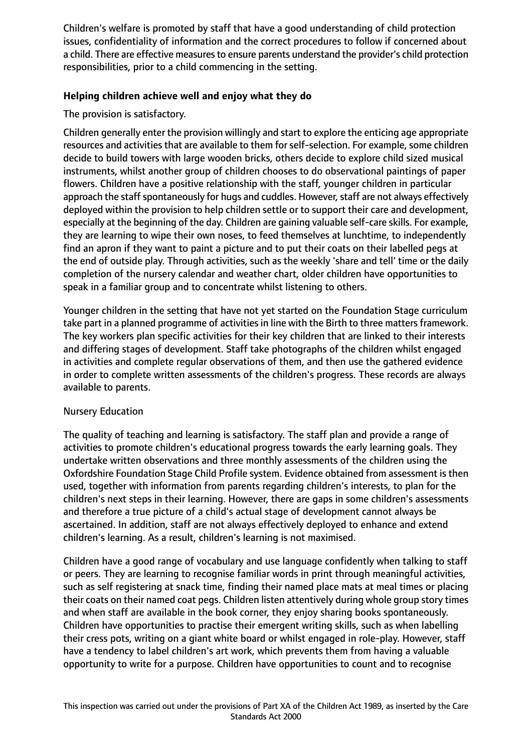Children's welfare is promoted by staff that have a good understanding of child protection issues, confidentiality of information and the correct procedures to follow if concerned about a child. There are effective measures to ensure parents understand the provider's child protection responsibilities, prior to a child commencing in the setting.

## **Helping children achieve well and enjoy what they do**

The provision is satisfactory.

Children generally enter the provision willingly and start to explore the enticing age appropriate resources and activities that are available to them for self-selection. For example, some children decide to build towers with large wooden bricks, others decide to explore child sized musical instruments, whilst another group of children chooses to do observational paintings of paper flowers. Children have a positive relationship with the staff, younger children in particular approach the staff spontaneously for hugs and cuddles. However, staff are not always effectively deployed within the provision to help children settle or to support their care and development, especially at the beginning of the day. Children are gaining valuable self-care skills. For example, they are learning to wipe their own noses, to feed themselves at lunchtime, to independently find an apron if they want to paint a picture and to put their coats on their labelled pegs at the end of outside play. Through activities, such as the weekly 'share and tell' time or the daily completion of the nursery calendar and weather chart, older children have opportunities to speak in a familiar group and to concentrate whilst listening to others.

Younger children in the setting that have not yet started on the Foundation Stage curriculum take part in a planned programme of activities in line with the Birth to three matters framework. The key workers plan specific activities for their key children that are linked to their interests and differing stages of development. Staff take photographs of the children whilst engaged in activities and complete regular observations of them, and then use the gathered evidence in order to complete written assessments of the children's progress. These records are always available to parents.

## Nursery Education

The quality of teaching and learning is satisfactory. The staff plan and provide a range of activities to promote children's educational progress towards the early learning goals. They undertake written observations and three monthly assessments of the children using the Oxfordshire Foundation Stage Child Profile system. Evidence obtained from assessment is then used, together with information from parents regarding children's interests, to plan for the children's next steps in their learning. However, there are gaps in some children's assessments and therefore a true picture of a child's actual stage of development cannot always be ascertained. In addition, staff are not always effectively deployed to enhance and extend children's learning. As a result, children's learning is not maximised.

Children have a good range of vocabulary and use language confidently when talking to staff or peers. They are learning to recognise familiar words in print through meaningful activities, such as self registering at snack time, finding their named place mats at meal times or placing their coats on their named coat pegs. Children listen attentively during whole group story times and when staff are available in the book corner, they enjoy sharing books spontaneously. Children have opportunities to practise their emergent writing skills, such as when labelling their cress pots, writing on a giant white board or whilst engaged in role-play. However, staff have a tendency to label children's art work, which prevents them from having a valuable opportunity to write for a purpose. Children have opportunities to count and to recognise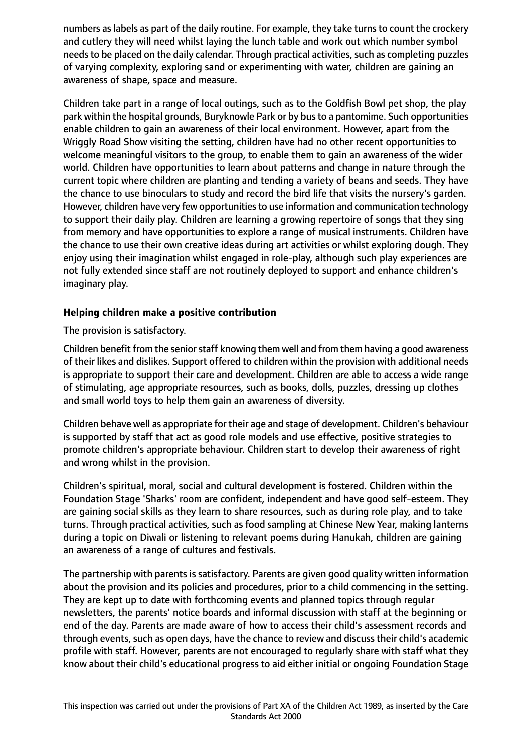numbers as labels as part of the daily routine. For example, they take turns to count the crockery and cutlery they will need whilst laying the lunch table and work out which number symbol needs to be placed on the daily calendar. Through practical activities, such as completing puzzles of varying complexity, exploring sand or experimenting with water, children are gaining an awareness of shape, space and measure.

Children take part in a range of local outings, such as to the Goldfish Bowl pet shop, the play park within the hospital grounds, Buryknowle Park or by busto a pantomime. Such opportunities enable children to gain an awareness of their local environment. However, apart from the Wriggly Road Show visiting the setting, children have had no other recent opportunities to welcome meaningful visitors to the group, to enable them to gain an awareness of the wider world. Children have opportunities to learn about patterns and change in nature through the current topic where children are planting and tending a variety of beans and seeds. They have the chance to use binoculars to study and record the bird life that visits the nursery's garden. However, children have very few opportunities to use information and communication technology to support their daily play. Children are learning a growing repertoire of songs that they sing from memory and have opportunities to explore a range of musical instruments. Children have the chance to use their own creative ideas during art activities or whilst exploring dough. They enjoy using their imagination whilst engaged in role-play, although such play experiences are not fully extended since staff are not routinely deployed to support and enhance children's imaginary play.

## **Helping children make a positive contribution**

The provision is satisfactory.

Children benefit from the senior staff knowing them well and from them having a good awareness of their likes and dislikes. Support offered to children within the provision with additional needs is appropriate to support their care and development. Children are able to access a wide range of stimulating, age appropriate resources, such as books, dolls, puzzles, dressing up clothes and small world toys to help them gain an awareness of diversity.

Children behave well as appropriate for their age and stage of development. Children's behaviour is supported by staff that act as good role models and use effective, positive strategies to promote children's appropriate behaviour. Children start to develop their awareness of right and wrong whilst in the provision.

Children's spiritual, moral, social and cultural development is fostered. Children within the Foundation Stage 'Sharks' room are confident, independent and have good self-esteem. They are gaining social skills as they learn to share resources, such as during role play, and to take turns. Through practical activities, such as food sampling at Chinese New Year, making lanterns during a topic on Diwali or listening to relevant poems during Hanukah, children are gaining an awareness of a range of cultures and festivals.

The partnership with parents is satisfactory. Parents are given good quality written information about the provision and its policies and procedures, prior to a child commencing in the setting. They are kept up to date with forthcoming events and planned topics through regular newsletters, the parents' notice boards and informal discussion with staff at the beginning or end of the day. Parents are made aware of how to access their child's assessment records and through events, such as open days, have the chance to review and discuss their child's academic profile with staff. However, parents are not encouraged to regularly share with staff what they know about their child's educational progress to aid either initial or ongoing Foundation Stage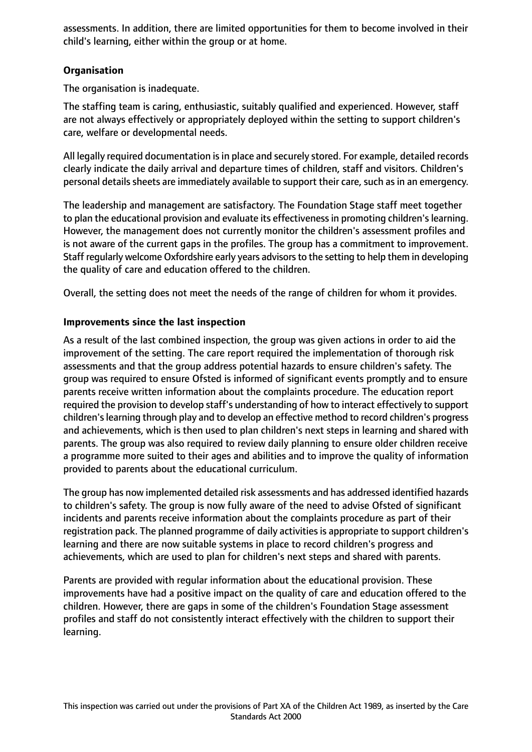assessments. In addition, there are limited opportunities for them to become involved in their child's learning, either within the group or at home.

## **Organisation**

The organisation is inadequate.

The staffing team is caring, enthusiastic, suitably qualified and experienced. However, staff are not always effectively or appropriately deployed within the setting to support children's care, welfare or developmental needs.

All legally required documentation is in place and securely stored. For example, detailed records clearly indicate the daily arrival and departure times of children, staff and visitors. Children's personal details sheets are immediately available to support their care, such as in an emergency.

The leadership and management are satisfactory. The Foundation Stage staff meet together to plan the educational provision and evaluate its effectiveness in promoting children's learning. However, the management does not currently monitor the children's assessment profiles and is not aware of the current gaps in the profiles. The group has a commitment to improvement. Staff regularly welcome Oxfordshire early years advisorsto the setting to help them in developing the quality of care and education offered to the children.

Overall, the setting does not meet the needs of the range of children for whom it provides.

## **Improvements since the last inspection**

As a result of the last combined inspection, the group was given actions in order to aid the improvement of the setting. The care report required the implementation of thorough risk assessments and that the group address potential hazards to ensure children's safety. The group was required to ensure Ofsted is informed of significant events promptly and to ensure parents receive written information about the complaints procedure. The education report required the provision to develop staff's understanding of how to interact effectively to support children's learning through play and to develop an effective method to record children's progress and achievements, which is then used to plan children's next steps in learning and shared with parents. The group was also required to review daily planning to ensure older children receive a programme more suited to their ages and abilities and to improve the quality of information provided to parents about the educational curriculum.

The group has now implemented detailed risk assessments and has addressed identified hazards to children's safety. The group is now fully aware of the need to advise Ofsted of significant incidents and parents receive information about the complaints procedure as part of their registration pack. The planned programme of daily activities is appropriate to support children's learning and there are now suitable systems in place to record children's progress and achievements, which are used to plan for children's next steps and shared with parents.

Parents are provided with regular information about the educational provision. These improvements have had a positive impact on the quality of care and education offered to the children. However, there are gaps in some of the children's Foundation Stage assessment profiles and staff do not consistently interact effectively with the children to support their learning.